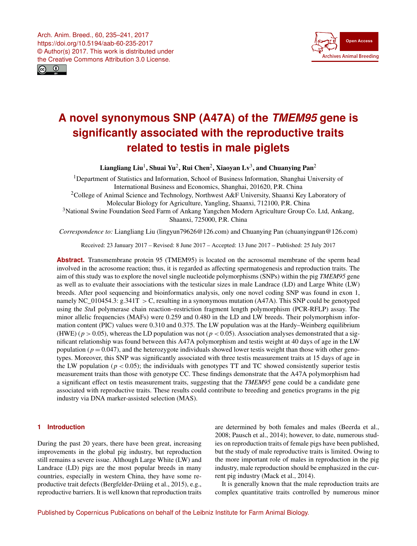<span id="page-0-1"></span>



# **A novel synonymous SNP (A47A) of the** *TMEM95* **gene is significantly associated with the reproductive traits related to testis in male piglets**

Liangliang Liu $^1$  $^1$ , Shuai Yu $^2$  $^2$ , Rui Chen $^2$ , Xiaoyan Lv $^3$  $^3$ , and Chuanying Pan $^2$ 

<sup>1</sup>Department of Statistics and Information, School of Business Information, Shanghai University of International Business and Economics, Shanghai, 201620, P.R. China

<sup>2</sup>College of Animal Science and Technology, Northwest A&F University, Shaanxi Key Laboratory of Molecular Biology for Agriculture, Yangling, Shaanxi, 712100, P.R. China

<sup>3</sup>National Swine Foundation Seed Farm of Ankang Yangchen Modern Agriculture Group Co. Ltd, Ankang, Shaanxi, 725000, P.R. China

*Correspondence to:* Liangliang Liu (lingyun79626@126.com) and Chuanying Pan (chuanyingpan@126.com)

Received: 23 January 2017 – Revised: 8 June 2017 – Accepted: 13 June 2017 – Published: 25 July 2017

**Abstract.** Transmembrane protein 95 (TMEM95) is located on the acrosomal membrane of the sperm head involved in the acrosome reaction; thus, it is regarded as affecting spermatogenesis and reproduction traits. The aim of this study was to explore the novel single nucleotide polymorphisms (SNPs) within the pig *TMEM95* gene as well as to evaluate their associations with the testicular sizes in male Landrace (LD) and Large White (LW) breeds. After pool sequencing and bioinformatics analysis, only one novel coding SNP was found in exon 1, namely NC\_010454.3:  $g.341T > C$ , resulting in a synonymous mutation (A47A). This SNP could be genotyped using the *Stu*I polymerase chain reaction–restriction fragment length polymorphism (PCR-RFLP) assay. The minor allelic frequencies (MAFs) were 0.259 and 0.480 in the LD and LW breeds. Their polymorphism information content (PIC) values were 0.310 and 0.375. The LW population was at the Hardy–Weinberg equilibrium (HWE) ( $p > 0.05$ ), whereas the LD population was not ( $p < 0.05$ ). Association analyses demonstrated that a significant relationship was found between this A47A polymorphism and testis weight at 40 days of age in the LW population ( $p = 0.047$ ), and the heterozygote individuals showed lower testis weight than those with other genotypes. Moreover, this SNP was significantly associated with three testis measurement traits at 15 days of age in the LW population ( $p < 0.05$ ); the individuals with genotypes TT and TC showed consistently superior testis measurement traits than those with genotype CC. These findings demonstrate that the A47A polymorphism had a significant effect on testis measurement traits, suggesting that the *TMEM95* gene could be a candidate gene associated with reproductive traits. These results could contribute to breeding and genetics programs in the pig industry via DNA marker-assisted selection (MAS).

# <span id="page-0-0"></span>**1 Introduction**

During the past 20 years, there have been great, increasing improvements in the global pig industry, but reproduction still remains a severe issue. Although Large White (LW) and Landrace (LD) pigs are the most popular breeds in many countries, especially in western China, they have some reproductive trait defects (Bergfelder-Drüing et al., 2015), e.g., reproductive barriers. It is well known that reproduction traits are determined by both females and males (Beerda et al., 2008; Pausch et al., 2014); however, to date, numerous studies on reproduction traits of female pigs have been published, but the study of male reproductive traits is limited. Owing to the more important role of males in reproduction in the pig industry, male reproduction should be emphasized in the current pig industry (Mack et al., 2014).

It is generally known that the male reproduction traits are complex quantitative traits controlled by numerous minor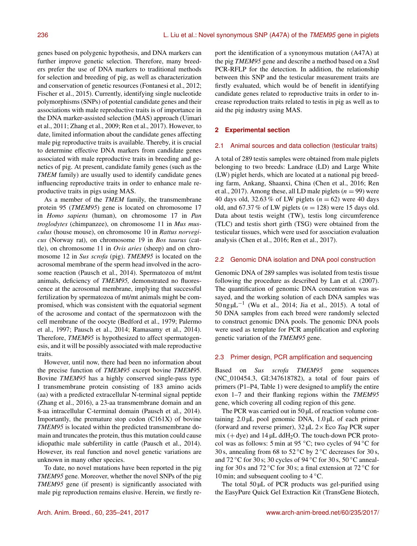genes based on polygenic hypothesis, and DNA markers can further improve genetic selection. Therefore, many breeders prefer the use of DNA markers to traditional methods for selection and breeding of pig, as well as characterization and conservation of genetic resources (Fontanesi et al., 2012; Fischer et al., 2015). Currently, identifying single nucleotide polymorphisms (SNPs) of potential candidate genes and their associations with male reproductive traits is of importance in the DNA marker-assisted selection (MAS) approach (Uimari et al., 2011; Zhang et al., 2009; Ren et al., 2017). However, to date, limited information about the candidate genes affecting male pig reproductive traits is available. Thereby, it is crucial to determine effective DNA markers from candidate genes associated with male reproductive traits in breeding and genetics of pig. At present, candidate family genes (such as the *TMEM* family) are usually used to identify candidate genes influencing reproductive traits in order to enhance male reproductive traits in pigs using MAS.

As a member of the *TMEM* family, the transmembrane protein 95 (*TMEM95*) gene is located on chromosome 17 in *Homo sapiens* (human), on chromosome 17 in *Pan troglodytes* (chimpanzee), on chromosome 11 in *Mus musculus* (house mouse), on chromosome 10 in *Rattus norvegicus* (Norway rat), on chromosome 19 in *Bos taurus* (cattle), on chromosome 11 in *Ovis aries* (sheep) and on chromosome 12 in *Sus scrofa* (pig). *TMEM95* is located on the acrosomal membrane of the sperm head involved in the acrosome reaction (Pausch et al., 2014). Spermatozoa of mt/mt animals, deficiency of *TMEM95,* demonstrated no fluorescence at the acrosomal membrane, implying that successful fertilization by spermatozoa of mt/mt animals might be compromised, which was consistent with the equatorial segment of the acrosome and contact of the spermatozoon with the cell membrane of the oocyte (Bedford et al., 1979; Palermo et al., 1997; Pausch et al., 2014; Ramasamy et al., 2014). Therefore, *TMEM95* is hypothesized to affect spermatogenesis, and it will be possibly associated with male reproductive traits.

However, until now, there had been no information about the precise function of *TMEM95* except bovine *TMEM9*5. Bovine *TMEM95* has a highly conserved single-pass type I transmembrane protein consisting of 183 amino acids (aa) with a predicted extracellular N-terminal signal peptide (Zhang et al., 2016), a 23-aa transmembrane domain and an 8-aa intracellular C-terminal domain (Pausch et al., 2014). Importantly, the premature stop codon (C161X) of bovine *TMEM95* is located within the predicted transmembrane domain and truncates the protein, thus this mutation could cause idiopathic male subfertility in cattle (Pausch et al., 2014). However, its real function and novel genetic variations are unknown in many other species.

To date, no novel mutations have been reported in the pig *TMEM95* gene. Moreover, whether the novel SNPs of the pig *TMEM95* gene (if present) is significantly associated with male pig reproduction remains elusive. Herein, we firstly report the identification of a synonymous mutation (A47A) at the pig *TMEM95* gene and describe a method based on a *Stu*I PCR-RFLP for the detection. In addition, the relationship between this SNP and the testicular measurement traits are firstly evaluated, which would be of benefit in identifying candidate genes related to reproductive traits in order to increase reproduction traits related to testis in pig as well as to aid the pig industry using MAS.

## **2 Experimental section**

#### 2.1 Animal sources and data collection (testicular traits)

A total of 289 testis samples were obtained from male piglets belonging to two breeds: Landrace (LD) and Large White (LW) piglet herds, which are located at a national pig breeding farm, Ankang, Shaanxi, China (Chen et al., 2016; Ren et al., 2017). Among these, all LD male piglets ( $n = 99$ ) were 40 days old, 32.63 % of LW piglets  $(n = 62)$  were 40 days old, and 67.37 % of LW piglets ( $n = 128$ ) were 15 days old. Data about testis weight (TW), testis long circumference (TLC) and testis short girth (TSG) were obtained from the testicular tissues, which were used for association evaluation analysis (Chen et al., 2016; Ren et al., 2017).

#### 2.2 Genomic DNA isolation and DNA pool construction

Genomic DNA of 289 samples was isolated from testis tissue following the procedure as described by Lan et al. (2007). The quantification of genomic DNA concentration was assayed, and the working solution of each DNA samples was 50 ng µL−<sup>1</sup> (Wu et al., 2014; Jia et al., 2015). A total of 50 DNA samples from each breed were randomly selected to construct genomic DNA pools. The genomic DNA pools were used as template for PCR amplification and exploring genetic variation of the *TMEM95* gene.

### 2.3 Primer design, PCR amplification and sequencing

Based on *Sus scrofa TMEM95* gene sequences (NC\_010454.3, GI:347618782), a total of four pairs of primers (P1–P4, Table 1) were designed to amplify the entire exon 1–7 and their flanking regions within the *TMEM95* gene, which covering all coding region of this gene.

The PCR was carried out in 50 µL of reaction volume containing  $2.0 \mu L$  pool genomic DNA,  $1.0 \mu L$  of each primer (forward and reverse primer), 32 µL 2× Eco *Taq* PCR super mix (+ dye) and  $14 \mu L$  ddH<sub>2</sub>O. The touch-down PCR protocol was as follows: 5 min at 95  $°C$ ; two cycles of 94  $°C$  for 30 s, annealing from 68 to 52 °C by 2 °C decreases for 30 s, and  $72 \degree$ C for 30 s; 30 cycles of 94  $\degree$ C for 30 s, 50  $\degree$ C annealing for 30 s and 72 °C for 30 s; a final extension at 72 °C for 10 min; and subsequent cooling to  $4^{\circ}$ C.

The total  $50 \mu L$  of PCR products was gel-purified using the EasyPure Quick Gel Extraction Kit (TransGene Biotech,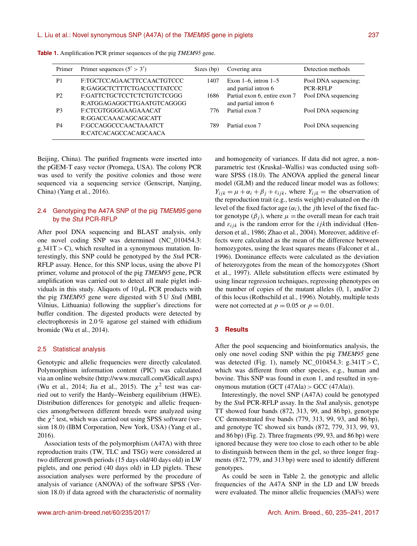| Primer         | Primer sequences $(5' > 3')$                             | Sizes (bp) | Covering area                                         | Detection methods                       |
|----------------|----------------------------------------------------------|------------|-------------------------------------------------------|-----------------------------------------|
| P <sub>1</sub> | F:TGCTCCAGAACTTCCAACTGTCCC<br>R:GAGGCTCTTTCTGACCCTTATCCC | 1407       | Exon $1-6$ , intron $1-5$<br>and partial intron 6     | Pool DNA sequencing:<br><b>PCR-RFLP</b> |
| P <sub>2</sub> | F:GATTCTGCTCCTCTCTGTCTCGGG<br>R:ATGGAGAGGCTTGAATGTCAGGGG | 1686       | Partial exon 6, entire exon 7<br>and partial intron 6 | Pool DNA sequencing                     |
| P <sub>3</sub> | F:CTCGTGGGGAAGAAACAT<br>R:GGACCAAACAGCAGCATT             | 776        | Partial exon 7                                        | Pool DNA sequencing                     |
| P4             | F:GCCAGGCCCAACTAAATCT<br>R:CATCACAGCCACAGCAACA           | 789        | Partial exon 7                                        | Pool DNA sequencing                     |

**Table 1.** Amplification PCR primer sequences of the pig *TMEM95* gene.

Beijing, China). The purified fragments were inserted into the pGEM-T easy vector (Promega, USA). The colony PCR was used to verify the positive colonies and those were sequenced via a sequencing service (Genscript, Nanjing, China) (Yang et al., 2016).

# 2.4 Genotyping the A47A SNP of the pig *TMEM95* gene by the *Stu*I PCR-RFLP

After pool DNA sequencing and BLAST analysis, only one novel coding SNP was determined (NC\_010454.3:  $g.341T > C$ , which resulted in a synonymous mutation. Interestingly, this SNP could be genotyped by the *Stu*I PCR-RFLP assay. Hence, for this SNP locus, using the above P1 primer, volume and protocol of the pig *TMEM95* gene, PCR amplification was carried out to detect all male piglet individuals in this study. Aliquots of 10 µL PCR products with the pig *TMEM95* gene were digested with 5 U *Stu*I (MBI, Vilnius, Lithuania) following the supplier's directions for buffer condition. The digested products were detected by electrophoresis in 2.0 % agarose gel stained with ethidium bromide (Wu et al., 2014).

#### 2.5 Statistical analysis

Genotypic and allelic frequencies were directly calculated. Polymorphism information content (PIC) was calculated via an online website [\(http://www.msrcall.com/Gdicall.aspx\)](http://www.msrcall.com/Gdicall.aspx) (Wu et al., 2014; Jia et al., 2015). The  $\chi^2$  test was carried out to verify the Hardy–Weinberg equilibrium (HWE). Distribution differences for genotypic and allelic frequencies among/between different breeds were analyzed using the  $\chi^2$  test, which was carried out using SPSS software (version 18.0) (IBM Corporation, New York, USA) (Yang et al., 2016).

Association tests of the polymorphism (A47A) with three reproduction traits (TW, TLC and TSG) were considered at two different growth periods (15 days old/40 days old) in LW piglets, and one period (40 days old) in LD piglets. These association analyses were performed by the procedure of analysis of variance (ANOVA) of the software SPSS (Version 18.0) if data agreed with the characteristic of normality and homogeneity of variances. If data did not agree, a nonparametric test (Kruskal–Wallis) was conducted using software SPSS (18.0). The ANOVA applied the general linear model (GLM) and the reduced linear model was as follows:  $Y_{ijk} = \mu + \alpha_i + \beta_j + \varepsilon_{ijk}$ , where  $Y_{ijk} =$  the observation of the reproduction trait (e.g., testis weight) evaluated on the  $i$ th level of the fixed factor age  $(\alpha_i)$ , the *j*th level of the fixed factor genotype  $(\beta_i)$ , where  $\mu$  = the overall mean for each trait and  $\varepsilon_{ijk}$  is the random error for the *i jkth* individual (Henderson et al., 1986; Zhao et al., 2004). Moreover, additive effects were calculated as the mean of the difference between homozygotes, using the least squares means (Falconer et al., 1996). Dominance effects were calculated as the deviation of heterozygotes from the mean of the homozygotes (Short et al., 1997). Allele substitution effects were estimated by using linear regression techniques, regressing phenotypes on the number of copies of the mutant alleles (0, 1, and/or 2) of this locus (Rothschild et al., 1996). Notably, multiple tests were not corrected at  $p = 0.05$  or  $p = 0.01$ .

# **3 Results**

After the pool sequencing and bioinformatics analysis, the only one novel coding SNP within the pig *TMEM95* gene was detected (Fig. 1), namely NC\_010454.3:  $g.341T > C$ , which was different from other species, e.g., human and bovine. This SNP was found in exon 1, and resulted in synonymous mutation (GCT  $(47Ala) >$  GCC  $(47Ala)$ ).

Interestingly, the novel SNP (A47A) could be genotyped by the *Stu*I PCR-RFLP assay. In the *Stu*I analysis, genotype TT showed four bands (872, 313, 99, and 86 bp), genotype CC demonstrated five bands (779, 313, 99, 93, and 86 bp), and genotype TC showed six bands (872, 779, 313, 99, 93, and 86 bp) (Fig. 2). Three fragments (99, 93, and 86 bp) were ignored because they were too close to each other to be able to distinguish between them in the gel, so three longer fragments (872, 779, and 313 bp) were used to identify different genotypes.

As could be seen in Table 2, the genotypic and allelic frequencies of the A47A SNP in the LD and LW breeds were evaluated. The minor allelic frequencies (MAFs) were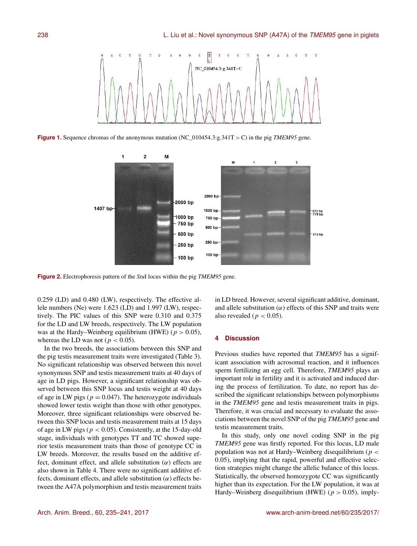

**Figure 1.** Sequence chromas of the anonymous mutation (NC\_010454.3:g.341T > C) in the pig *TMEM95* gene.



**Figure 2.** Electrophoresis pattern of the *Stu*I locus within the pig *TMEM95* gene.

0.259 (LD) and 0.480 (LW), respectively. The effective allele numbers (Ne) were 1.623 (LD) and 1.997 (LW), respectively. The PIC values of this SNP were 0.310 and 0.375 for the LD and LW breeds, respectively. The LW population was at the Hardy–Weinberg equilibrium (HWE) ( $p > 0.05$ ), whereas the LD was not ( $p < 0.05$ ).

In the two breeds, the associations between this SNP and the pig testis measurement traits were investigated (Table 3). No significant relationship was observed between this novel synonymous SNP and testis measurement traits at 40 days of age in LD pigs. However, a significant relationship was observed between this SNP locus and testis weight at 40 days of age in LW pigs ( $p = 0.047$ ). The heterozygote individuals showed lower testis weight than those with other genotypes. Moreover, three significant relationships were observed between this SNP locus and testis measurement traits at 15 days of age in LW pigs ( $p < 0.05$ ). Consistently, at the 15-day-old stage, individuals with genotypes TT and TC showed superior testis measurement traits than those of genotype CC in LW breeds. Moreover, the results based on the additive effect, dominant effect, and allele substitution  $(\alpha)$  effects are also shown in Table 4. There were no significant additive effects, dominant effects, and allele substitution  $(\alpha)$  effects between the A47A polymorphism and testis measurement traits

in LD breed. However, several significant additive, dominant, and allele substitution  $(\alpha)$  effects of this SNP and traits were also revealed ( $p < 0.05$ ).

## **4 Discussion**

Previous studies have reported that *TMEM95* has a significant association with acrosomal reaction, and it influences sperm fertilizing an egg cell. Therefore, *TMEM95* plays an important role in fertility and it is activated and induced during the process of fertilization. To date, no report has described the significant relationships between polymorphisms in the *TMEM95* gene and testis measurement traits in pigs. Therefore, it was crucial and necessary to evaluate the associations between the novel SNP of the pig *TMEM95* gene and testis measurement traits.

In this study, only one novel coding SNP in the pig *TMEM95* gene was firstly reported. For this locus, LD male population was not at Hardy–Weinberg disequilibrium ( $p <$ 0.05), implying that the rapid, powerful and effective selection strategies might change the allelic balance of this locus. Statistically, the observed homozygote CC was significantly higher than its expectation. For the LW population, it was at Hardy–Weinberg disequilibrium (HWE) ( $p > 0.05$ ), imply-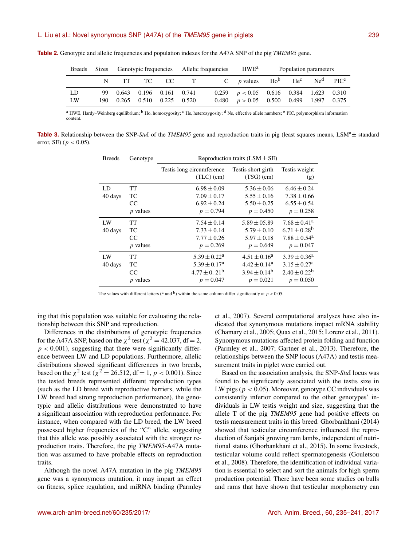|    | Breeds Sizes Genotypic frequencies Allelic frequencies HWE <sup>a</sup> |                                |  |  |                                                                                          | Population parameters                              |  |  |  |  |
|----|-------------------------------------------------------------------------|--------------------------------|--|--|------------------------------------------------------------------------------------------|----------------------------------------------------|--|--|--|--|
|    |                                                                         |                                |  |  | N TT TC CC T C p values Ho <sup>b</sup> He <sup>c</sup> Ne <sup>d</sup> PIC <sup>e</sup> |                                                    |  |  |  |  |
| LD |                                                                         | 99  0.643  0.196  0.161  0.741 |  |  |                                                                                          | $0.259$ $p < 0.05$ $0.616$ $0.384$ $1.623$ $0.310$ |  |  |  |  |
| LW |                                                                         | 190 0.265 0.510 0.225 0.520    |  |  |                                                                                          | $0.480$ $p > 0.05$ $0.500$ $0.499$ $1.997$ $0.375$ |  |  |  |  |

**Table 2.** Genotypic and allelic frequencies and population indexes for the A47A SNP of the pig *TMEM95* gene.

<sup>a</sup> HWE, Hardy–Weinberg equilibrium; <sup>b</sup> Ho, homozygosity; <sup>c</sup> He, heterozygosity; <sup>d</sup> Ne, effective allele numbers; <sup>e</sup> PIC, polymorphism information content.

**Table 3.** Relationship between the SNP-*StuI* of the *TMEM95* gene and reproduction traits in pig (least squares means, LSM<sup>a</sup> $\pm$  standard error, SE) ( $p < 0.05$ ).

| <b>Breeds</b> | Genotype        | Reproduction traits $(LSM \pm SE)$        |                                    |                              |  |  |  |
|---------------|-----------------|-------------------------------------------|------------------------------------|------------------------------|--|--|--|
|               |                 | Testis long circumference<br>$(TLC)$ (cm) | Testis short girth<br>$(TSG)$ (cm) | Testis weight<br>(g)         |  |  |  |
| LD            | TT              | $6.98 \pm 0.09$                           | $5.36 \pm 0.06$                    | $6.46 \pm 0.24$              |  |  |  |
| 40 days       | TС              | $7.09 \pm 0.17$                           | $5.55 \pm 0.16$                    | $7.38 \pm 0.66$              |  |  |  |
|               | CC              | $6.92 \pm 0.24$                           | $5.50 \pm 0.25$                    | $6.55 \pm 0.54$              |  |  |  |
|               | $p$ values      | $p = 0.794$                               | $p = 0.450$                        | $p = 0.258$                  |  |  |  |
| LW            | TT.             | $7.54 \pm 0.14$                           | $5.89 \pm 05.89$                   | $7.68 \pm 0.41^a$            |  |  |  |
| 40 days       | TC              | $7.33 \pm 0.14$                           | $5.79 \pm 0.10$                    | $6.71 \pm 0.28^{\rm b}$      |  |  |  |
|               | CC              | $7.77 \pm 0.26$                           | $5.97 \pm 0.18$                    | $7.88 \pm 0.54$ <sup>a</sup> |  |  |  |
|               | $p$ values      | $p = 0.269$                               | $p = 0.649$                        | $p = 0.047$                  |  |  |  |
| LW            | TT              | $5.39 \pm 0.22^a$                         | $4.51 \pm 0.16^a$                  | $3.39 \pm 0.36^a$            |  |  |  |
| 40 days       | TC              | $5.39 \pm 0.17^a$                         | $4.42 \pm 0.14^a$                  | $3.15 \pm 0.27^a$            |  |  |  |
|               | CC              | $4.77 \pm 0.21^{\rm b}$                   | $3.94 \pm 0.14^{b}$                | $2.40 \pm 0.22^b$            |  |  |  |
|               | <i>p</i> values | $p = 0.047$                               | $p = 0.021$                        | $p = 0.050$                  |  |  |  |

The values with different letters (<sup>a</sup> and <sup>b</sup>) within the same column differ significantly at  $p < 0.05$ .

ing that this population was suitable for evaluating the relationship between this SNP and reproduction.

Differences in the distributions of genotypic frequencies for the A47A SNP, based on the  $\chi^2$  test ( $\chi^2 = 42.037$ , df = 2,  $p < 0.001$ ), suggesting that there were significantly difference between LW and LD populations. Furthermore, allelic distributions showed significant differences in two breeds, based on the  $\chi^2$  test ( $\chi^2 = 26.512$ , df = 1, p < 0.001). Since the tested breeds represented different reproduction types (such as the LD breed with reproductive barriers, while the LW breed had strong reproduction performance), the genotypic and allelic distributions were demonstrated to have a significant association with reproduction performance. For instance, when compared with the LD breed, the LW breed possessed higher frequencies of the "C" allele, suggesting that this allele was possibly associated with the stronger reproduction traits. Therefore, the pig *TMEM95*-A47A mutation was assumed to have probable effects on reproduction traits.

Although the novel A47A mutation in the pig *TMEM95* gene was a synonymous mutation, it may impart an effect on fitness, splice regulation, and miRNA binding (Parmley et al., 2007). Several computational analyses have also indicated that synonymous mutations impact mRNA stability (Chamary et al., 2005; Quax et al., 2015; Lorenz et al., 2011). Synonymous mutations affected protein folding and function (Parmley et al., 2007; Gartner et al., 2013). Therefore, the relationships between the SNP locus (A47A) and testis measurement traits in piglet were carried out.

Based on the association analysis, the SNP-*Stu*I locus was found to be significantly associated with the testis size in LW pigs ( $p < 0.05$ ). Moreover, genotype CC individuals was consistently inferior compared to the other genotypes' individuals in LW testis weight and size, suggesting that the allele T of the pig *TMEM95* gene had positive effects on testis measurement traits in this breed. Ghorbankhani (2014) showed that testicular circumference influenced the reproduction of Sanjabi growing ram lambs, independent of nutritional status (Ghorbankhani et al., 2015). In some livestock, testicular volume could reflect spermatogenesis (Gouletsou et al., 2008). Therefore, the identification of individual variation is essential to select and sort the animals for high sperm production potential. There have been some studies on bulls and rams that have shown that testicular morphometry can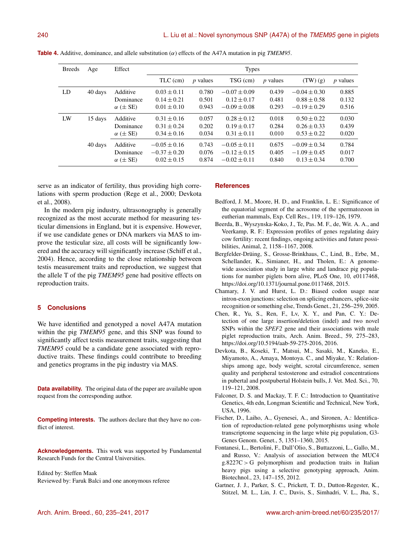| 240 |  |  |  |
|-----|--|--|--|
|     |  |  |  |

| Age     | Effect                | <b>Types</b>                         |                 |                                      |                  |                                      |                         |
|---------|-----------------------|--------------------------------------|-----------------|--------------------------------------|------------------|--------------------------------------|-------------------------|
|         |                       | TLC (cm)                             | <i>p</i> values | TSG (cm)                             | <i>p</i> values  | (TW)(g)                              | $p$ values              |
| 40 days | Additive              | $0.03 \pm 0.11$                      | 0.780           | $-0.07 \pm 0.09$                     | 0.439            | $-0.04 \pm 0.30$                     | 0.885                   |
|         | Dominance             | $0.14 \pm 0.21$                      | 0.501           | $0.12 \pm 0.17$                      | 0.481            | $0.88 \pm 0.58$                      | 0.132                   |
|         | $\alpha$ ( $\pm$ SE)  | $0.01 \pm 0.10$                      | 0.943           | $-0.09 \pm 0.08$                     | 0.293            | $-0.19 \pm 0.29$                     | 0.516                   |
| 15 days | Additive              | $0.31 \pm 0.16$                      | 0.057           | $0.28 \pm 0.12$                      | 0.018            | $0.50 \pm 0.22$                      | 0.030                   |
|         | Dominance             | $0.31 \pm 0.24$                      | 0.202           | $0.19 \pm 0.17$                      | 0.284            | $0.26 \pm 0.33$                      | 0.439                   |
|         | $\alpha$ ( $\pm$ SE)  | $0.34 \pm 0.16$                      | 0.034           | $0.31 \pm 0.11$                      | 0.010            | $0.53 \pm 0.22$                      | 0.020                   |
| 40 days | Additive<br>Dominance | $-0.05 \pm 0.16$<br>$-0.37 \pm 0.20$ | 0.743<br>0.076  | $-0.05 \pm 0.11$<br>$-0.12 \pm 0.15$ | 0.675<br>0.405   | $-0.09 \pm 0.34$<br>$-1.09 \pm 0.45$ | 0.784<br>0.017<br>0.700 |
|         |                       | $\alpha$ ( $\pm$ SE)                 | $0.02 \pm 0.15$ | 0.874                                | $-0.02 \pm 0.11$ | 0.840                                | $0.13 \pm 0.34$         |

**Table 4.** Additive, dominance, and allele substitution  $(\alpha)$  effects of the A47A mutation in pig *TMEM95*.

serve as an indicator of fertility, thus providing high correlations with sperm production (Rege et al., 2000; Devkota et al., 2008).

In the modern pig industry, ultrasonography is generally recognized as the most accurate method for measuring testicular dimensions in England, but it is expensive. However, if we use candidate genes or DNA markers via MAS to improve the testicular size, all costs will be significantly lowered and the accuracy will significantly increase (Schiff et al., 2004). Hence, according to the close relationship between testis measurement traits and reproduction, we suggest that the allele T of the pig *TMEM95* gene had positive effects on reproduction traits.

# **5 Conclusions**

We have identified and genotyped a novel A47A mutation within the pig *TMEM95* gene, and this SNP was found to significantly affect testis measurement traits, suggesting that *TMEM95* could be a candidate gene associated with reproductive traits. These findings could contribute to breeding and genetics programs in the pig industry via MAS.

**Data availability.** The original data of the paper are available upon request from the corresponding author.

**Competing interests.** The authors declare that they have no conflict of interest.

**Acknowledgements.** This work was supported by Fundamental Research Funds for the Central Universities.

Edited by: Steffen Maak Reviewed by: Faruk Balci and one anonymous referee

#### **References**

- Bedford, J. M., Moore, H. D., and Franklin, L. E.: Significance of the equatorial segment of the acrosome of the spermatozoon in eutherian mammals, Exp. Cell Res., 119, 119–126, 1979.
- Beerda, B., Wyszynska-Koko, J., Te, Pas. M. F., de, Wit. A. A., and Veerkamp, R. F.: Expression profiles of genes regulating dairy cow fertility: recent findings, ongoing activities and future possibilities, Animal, 2, 1158–1167, 2008.
- Bergfelder-Drüing, S., Grosse-Brinkhaus, C., Lind, B., Erbe, M., Schellander, K., Simianer, H., and Tholen, E.: A genomewide association study in large white and landrace pig populations for number piglets born alive, PLoS One, 10, e0117468, https://doi.org[/10.1371/journal.pone.0117468,](https://doi.org/10.1371/journal.pone.0117468) 2015.
- Chamary, J. V. and Hurst, L. D.: Biased codon usage near intron-exon junctions: selection on splicing enhancers, splice-site recognition or something else, Trends Genet., 21, 256–259, 2005.
- Chen, R., Yu, S., Ren, F., Lv, X. Y., and Pan, C. Y.: Detection of one large insertion/deletion (indel) and two novel SNPs within the *SPEF2* gene and their associations with male piglet reproduction traits, Arch. Anim. Breed., 59, 275–283, https://doi.org[/10.5194/aab-59-275-2016,](https://doi.org/10.5194/aab-59-275-2016) 2016.
- Devkota, B., Koseki, T., Matsui, M., Sasaki, M., Kaneko, E., Miyamoto, A., Amaya, Montoya. C., and Miyake, Y.: Relationships among age, body weight, scrotal circumference, semen quality and peripheral testosterone and estradiol concentrations in pubertal and postpubertal Holstein bulls, J. Vet. Med. Sci., 70, 119–121, 2008.
- Falconer, D. S. and Mackay, T. F. C.: Introduction to Quantitative Genetics, 4th edn, Longman Scientific and Technical, New York, USA, 1996.
- Fischer, D., Laiho, A., Gyenesei, A., and Sironen, A.: Identification of reproduction-related gene polymorphisms using whole transcriptome sequencing in the large white pig population, G3- Genes Genom. Genet., 5, 1351–1360, 2015.
- Fontanesi, L., Bertolini, F., Dall'Olio, S., Buttazzoni, L., Gallo, M., and Russo, V.: Analysis of association between the MUC4 g.8227C > G polymorphism and production traits in Italian heavy pigs using a selective genotyping approach, Anim. Biotechnol., 23, 147–155, 2012.
- Gartner, J. J., Parker, S. C., Prickett, T. D., Dutton-Regester, K., Stitzel, M. L., Lin, J. C., Davis, S., Simhadri, V. L., Jha, S.,